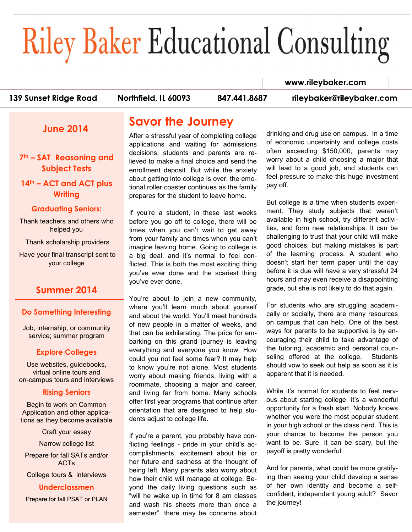# **Riley Baker Educational Consulting**

#### www.rileybaker.com

139 Sunset Ridge Road

Northfield. IL 60093

847.441.8687

rileybaker@rileybaker.com

## **June 2014**

**7th – SAT Reasoning and Subject Tests**

**14th – ACT and ACT plus Writing**

#### **Graduating Seniors:**

Thank teachers and others who helped you

Thank scholarship providers

Have your final transcript sent to your college

## **Summer 2014**

#### **Do Something Interesting**

Job, internship, or community service; summer program

#### **Explore Colleges**

Use websites, guidebooks, virtual online tours and on-campus tours and interviews

#### **Rising Seniors**

Begin to work on Common Application and other applications as they become available

Craft your essay

Narrow college list

Prepare for fall SATs and/or ACTs

College tours & interviews

**Underclassmen** Prepare for fall PSAT or PLAN

## **Savor the Journey**

After a stressful year of completing college applications and waiting for admissions decisions, students and parents are relieved to make a final choice and send the enrollment deposit. But while the anxiety about getting into college is over, the emotional roller coaster continues as the family prepares for the student to leave home.

If you're a student, in these last weeks before you go off to college, there will be times when you can't wait to get away from your family and times when you can't imagine leaving home. Going to college is a big deal, and it's normal to feel conflicted. This is both the most exciting thing you've ever done and the scariest thing you've ever done.

You're about to join a new community, where you'll learn much about yourself and about the world. You'll meet hundreds of new people in a matter of weeks, and that can be exhilarating. The price for embarking on this grand journey is leaving everything and everyone you know. How could you not feel some fear? It may help to know you're not alone. Most students worry about making friends, living with a roommate, choosing a major and career, and living far from home. Many schools offer first year programs that continue after orientation that are designed to help students adjust to college life.

If you're a parent, you probably have conflicting feelings - pride in your child's accomplishments, excitement about his or her future and sadness at the thought of being left. Many parents also worry about how their child will manage at college. Beyond the daily living questions such as "will he wake up in time for 8 am classes and wash his sheets more than once a semester", there may be concerns about drinking and drug use on campus. In a time of economic uncertainty and college costs often exceeding \$150,000, parents may worry about a child choosing a major that will lead to a good job, and students can feel pressure to make this huge investment pay off.

But college is a time when students experiment. They study subjects that weren't available in high school, try different activities, and form new relationships. It can be challenging to trust that your child will make good choices, but making mistakes is part of the learning process. A student who doesn't start her term paper until the day before it is due will have a very stressful 24 hours and may even receive a disappointing grade, but she is not likely to do that again.

For students who are struggling academically or socially, there are many resources on campus that can help. One of the best ways for parents to be supportive is by encouraging their child to take advantage of the tutoring, academic and personal counseling offered at the college. Students should vow to seek out help as soon as it is apparent that it is needed.

While it's normal for students to feel nervous about starting college, it's a wonderful opportunity for a fresh start. Nobody knows whether you were the most popular student in your high school or the class nerd. This is your chance to become the person you want to be. Sure, it can be scary, but the payoff is pretty wonderful.

And for parents, what could be more gratifying than seeing your child develop a sense of her own identity and become a selfconfident, independent young adult? Savor the journey!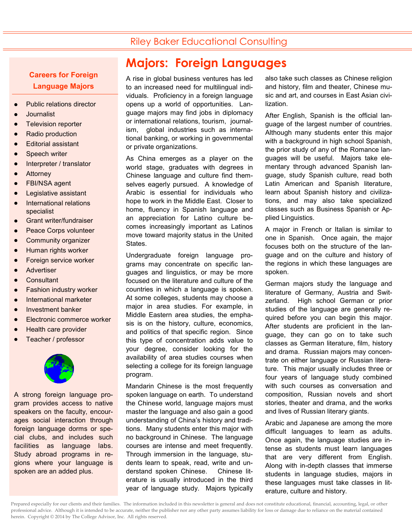## Riley Baker Educational Consulting

### **Careers for Foreign Language Majors**

- Public relations director
- **Journalist**
- Television reporter
- Radio production
- Editorial assistant
- Speech writer
- Interpreter / translator
- **Attorney**
- FBI/NSA agent
- Legislative assistant
- International relations specialist
- Grant writer/fundraiser
- Peace Corps volunteer
- Community organizer
- Human rights worker
- Foreign service worker
- **Advertiser**
- **Consultant**
- Fashion industry worker
- International marketer
- Investment banker
- Electronic commerce worker
- Health care provider
- Teacher / professor



A strong foreign language program provides access to native speakers on the faculty, encourages social interaction through foreign language dorms or special clubs, and includes such facilities as language labs. Study abroad programs in regions where your language is spoken are an added plus.

# **Majors: Foreign Languages**

A rise in global business ventures has led to an increased need for multilingual individuals. Proficiency in a foreign language opens up a world of opportunities. Language majors may find jobs in diplomacy or international relations, tourism, journalism, global industries such as international banking, or working in governmental or private organizations.

As China emerges as a player on the world stage, graduates with degrees in Chinese language and culture find themselves eagerly pursued. A knowledge of Arabic is essential for individuals who hope to work in the Middle East. Closer to home, fluency in Spanish language and an appreciation for Latino culture becomes increasingly important as Latinos move toward majority status in the United States.

Undergraduate foreign language programs may concentrate on specific languages and linguistics, or may be more focused on the literature and culture of the countries in which a language is spoken. At some colleges, students may choose a major in area studies. For example, in Middle Eastern area studies, the emphasis is on the history, culture, economics, and politics of that specific region. Since this type of concentration adds value to your degree, consider looking for the availability of area studies courses when selecting a college for its foreign language program.

Mandarin Chinese is the most frequently spoken language on earth. To understand the Chinese world, language majors must master the language and also gain a good understanding of China's history and traditions. Many students enter this major with no background in Chinese. The language courses are intense and meet frequently. Through immersion in the language, students learn to speak, read, write and understand spoken Chinese. Chinese literature is usually introduced in the third year of language study. Majors typically

also take such classes as Chinese religion and history, film and theater, Chinese music and art, and courses in East Asian civilization.

After English, Spanish is the official language of the largest number of countries. Although many students enter this major with a background in high school Spanish, the prior study of any of the Romance languages will be useful. Majors take elementary through advanced Spanish language, study Spanish culture, read both Latin American and Spanish literature, learn about Spanish history and civilizations, and may also take specialized classes such as Business Spanish or Applied Linguistics.

A major in French or Italian is similar to one in Spanish. Once again, the major focuses both on the structure of the language and on the culture and history of the regions in which these languages are spoken.

German majors study the language and literature of Germany, Austria and Switzerland. High school German or prior studies of the language are generally required before you can begin this major. After students are proficient in the language, they can go on to take such classes as German literature, film, history and drama. Russian majors may concentrate on either language or Russian literature. This major usually includes three or four years of language study combined with such courses as conversation and composition, Russian novels and short stories, theater and drama, and the works and lives of Russian literary giants.

Arabic and Japanese are among the more difficult languages to learn as adults. Once again, the language studies are intense as students must learn languages that are very different from English. Along with in-depth classes that immerse students in language studies, majors in these languages must take classes in literature, culture and history.

Prepared especially for our clients and their families. The information included in this newsletter is general and does not constitute educational, financial, accounting, legal, or other professional advice. Although it is intended to be accurate, neither the publisher nor any other party assumes liability for loss or damage due to reliance on the material contained herein. Copyright © 2014 by The College Advisor, Inc. All rights reserved.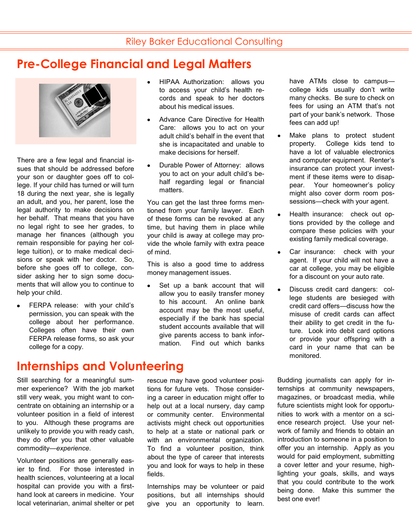## **Pre-College Financial and Legal Matters**



There are a few legal and financial issues that should be addressed before your son or daughter goes off to college. If your child has turned or will turn 18 during the next year, she is legally an adult, and you, her parent, lose the legal authority to make decisions on her behalf. That means that you have no legal right to see her grades, to manage her finances (although you remain responsible for paying her college tuition), or to make medical decisions or speak with her doctor. So, before she goes off to college, consider asking her to sign some documents that will allow you to continue to help your child.

FERPA release: with your child's permission, you can speak with the college about her performance. Colleges often have their own FERPA release forms, so ask your college for a copy.

**Internships and Volunteering**

Still searching for a meaningful summer experience? With the job market still very weak, you might want to concentrate on obtaining an internship or a volunteer position in a field of interest to you. Although these programs are unlikely to provide you with ready cash, they do offer you that other valuable commodity—*experience*.

Volunteer positions are generally easier to find. For those interested in health sciences, volunteering at a local hospital can provide you with a firsthand look at careers in medicine. Your local veterinarian, animal shelter or pet

- HIPAA Authorization: allows you to access your child's health records and speak to her doctors about his medical issues.
- Advance Care Directive for Health Care: allows you to act on your adult child's behalf in the event that she is incapacitated and unable to make decisions for herself.
- Durable Power of Attorney: allows you to act on your adult child's behalf regarding legal or financial matters.

You can get the last three forms mentioned from your family lawyer. Each of these forms can be revoked at any time, but having them in place while your child is away at college may provide the whole family with extra peace of mind.

This is also a good time to address money management issues.

Set up a bank account that will allow you to easily transfer money to his account. An online bank account may be the most useful, especially if the bank has special student accounts available that will give parents access to bank information. Find out which banks

rescue may have good volunteer positions for future vets. Those considering a career in education might offer to help out at a local nursery, day camp or community center. Environmental activists might check out opportunities to help at a state or national park or with an environmental organization. To find a volunteer position, think about the type of career that interests you and look for ways to help in these fields.

Internships may be volunteer or paid positions, but all internships should give you an opportunity to learn.

have ATMs close to campus college kids usually don't write many checks. Be sure to check on fees for using an ATM that's not part of your bank's network. Those fees can add up!

- Make plans to protect student property. College kids tend to have a lot of valuable electronics and computer equipment. Renter's insurance can protect your investment if these items were to disappear. Your homeowner's policy might also cover dorm room possessions—check with your agent.
- Health insurance: check out options provided by the college and compare these policies with your existing family medical coverage.
- $\bullet$ Car insurance: check with your agent. If your child will not have a car at college, you may be eligible for a discount on your auto rate.
- Discuss credit card dangers: col- $\bullet$ lege students are besieged with credit card offers—discuss how the misuse of credit cards can affect their ability to get credit in the future. Look into debit card options or provide your offspring with a card in your name that can be monitored.

Budding journalists can apply for internships at community newspapers, magazines, or broadcast media, while future scientists might look for opportunities to work with a mentor on a science research project. Use your network of family and friends to obtain an introduction to someone in a position to offer you an internship. Apply as you would for paid employment, submitting a cover letter and your resume, highlighting your goals, skills, and ways that you could contribute to the work being done. Make this summer the best one ever!